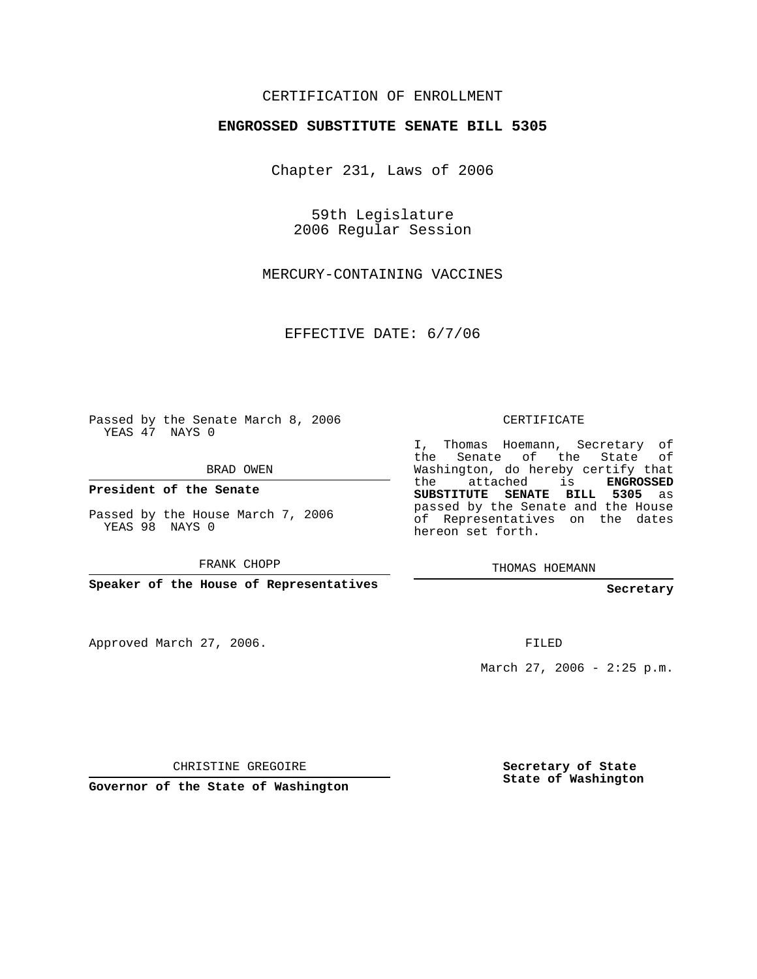## CERTIFICATION OF ENROLLMENT

## **ENGROSSED SUBSTITUTE SENATE BILL 5305**

Chapter 231, Laws of 2006

59th Legislature 2006 Regular Session

MERCURY-CONTAINING VACCINES

EFFECTIVE DATE: 6/7/06

Passed by the Senate March 8, 2006 YEAS 47 NAYS 0

BRAD OWEN

**President of the Senate**

Passed by the House March 7, 2006 YEAS 98 NAYS 0

FRANK CHOPP

**Speaker of the House of Representatives**

Approved March 27, 2006.

CERTIFICATE

I, Thomas Hoemann, Secretary of the Senate of the State of Washington, do hereby certify that the attached is **ENGROSSED SUBSTITUTE SENATE BILL 5305** as passed by the Senate and the House of Representatives on the dates hereon set forth.

THOMAS HOEMANN

**Secretary**

FILED

March 27, 2006 -  $2:25$  p.m.

CHRISTINE GREGOIRE

**Governor of the State of Washington**

**Secretary of State State of Washington**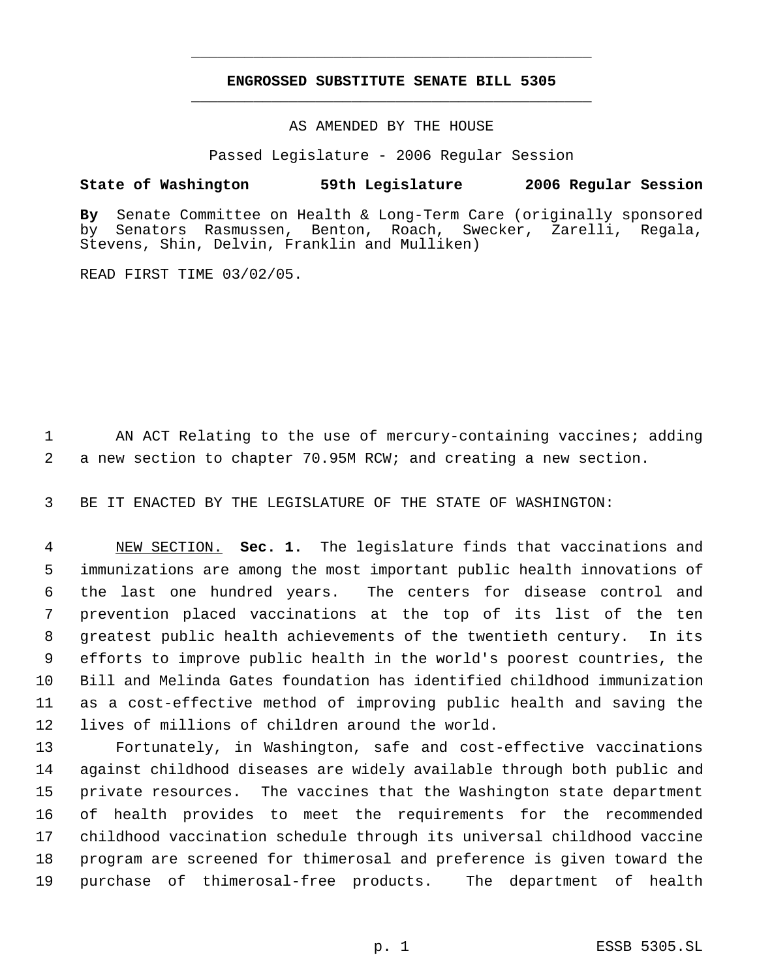## **ENGROSSED SUBSTITUTE SENATE BILL 5305** \_\_\_\_\_\_\_\_\_\_\_\_\_\_\_\_\_\_\_\_\_\_\_\_\_\_\_\_\_\_\_\_\_\_\_\_\_\_\_\_\_\_\_\_\_

\_\_\_\_\_\_\_\_\_\_\_\_\_\_\_\_\_\_\_\_\_\_\_\_\_\_\_\_\_\_\_\_\_\_\_\_\_\_\_\_\_\_\_\_\_

AS AMENDED BY THE HOUSE

Passed Legislature - 2006 Regular Session

## **State of Washington 59th Legislature 2006 Regular Session**

**By** Senate Committee on Health & Long-Term Care (originally sponsored Benton, Roach, Swecker, Zarelli, Regala, Stevens, Shin, Delvin, Franklin and Mulliken)

READ FIRST TIME 03/02/05.

1 AN ACT Relating to the use of mercury-containing vaccines; adding 2 a new section to chapter 70.95M RCW; and creating a new section.

3 BE IT ENACTED BY THE LEGISLATURE OF THE STATE OF WASHINGTON:

 NEW SECTION. **Sec. 1.** The legislature finds that vaccinations and immunizations are among the most important public health innovations of the last one hundred years. The centers for disease control and prevention placed vaccinations at the top of its list of the ten greatest public health achievements of the twentieth century. In its efforts to improve public health in the world's poorest countries, the Bill and Melinda Gates foundation has identified childhood immunization as a cost-effective method of improving public health and saving the lives of millions of children around the world.

 Fortunately, in Washington, safe and cost-effective vaccinations against childhood diseases are widely available through both public and private resources. The vaccines that the Washington state department of health provides to meet the requirements for the recommended childhood vaccination schedule through its universal childhood vaccine program are screened for thimerosal and preference is given toward the purchase of thimerosal-free products. The department of health